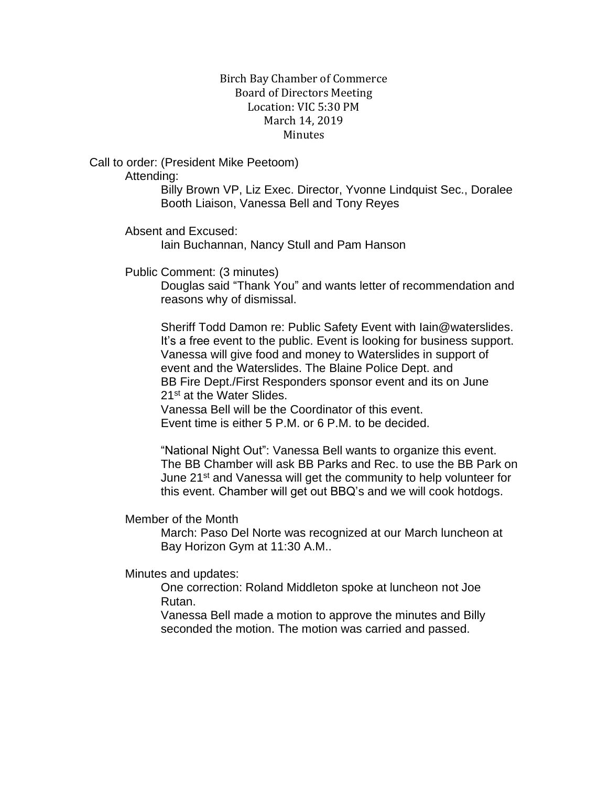## Birch Bay Chamber of Commerce Board of Directors Meeting Location: VIC 5:30 PM March 14, 2019 **Minutes**

Call to order: (President Mike Peetoom)

Attending:

Billy Brown VP, Liz Exec. Director, Yvonne Lindquist Sec., Doralee Booth Liaison, Vanessa Bell and Tony Reyes

Absent and Excused:

Iain Buchannan, Nancy Stull and Pam Hanson

Public Comment: (3 minutes)

Douglas said "Thank You" and wants letter of recommendation and reasons why of dismissal.

Sheriff Todd Damon re: Public Safety Event with Iain@waterslides. It's a free event to the public. Event is looking for business support. Vanessa will give food and money to Waterslides in support of event and the Waterslides. The Blaine Police Dept. and BB Fire Dept./First Responders sponsor event and its on June 21st at the Water Slides.

Vanessa Bell will be the Coordinator of this event. Event time is either 5 P.M. or 6 P.M. to be decided.

"National Night Out": Vanessa Bell wants to organize this event. The BB Chamber will ask BB Parks and Rec. to use the BB Park on June 21<sup>st</sup> and Vanessa will get the community to help volunteer for this event. Chamber will get out BBQ's and we will cook hotdogs.

Member of the Month

March: Paso Del Norte was recognized at our March luncheon at Bay Horizon Gym at 11:30 A.M..

Minutes and updates:

One correction: Roland Middleton spoke at luncheon not Joe Rutan.

Vanessa Bell made a motion to approve the minutes and Billy seconded the motion. The motion was carried and passed.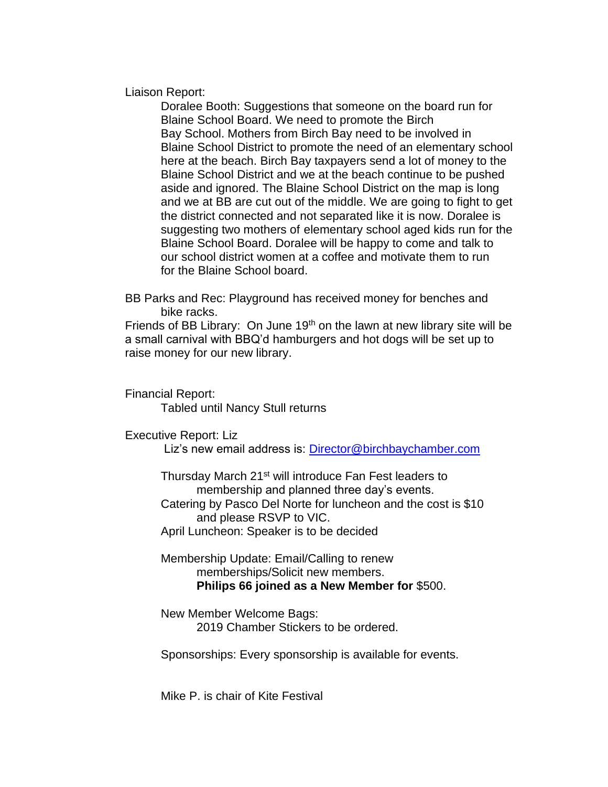Liaison Report:

Doralee Booth: Suggestions that someone on the board run for Blaine School Board. We need to promote the Birch Bay School. Mothers from Birch Bay need to be involved in Blaine School District to promote the need of an elementary school here at the beach. Birch Bay taxpayers send a lot of money to the Blaine School District and we at the beach continue to be pushed aside and ignored. The Blaine School District on the map is long and we at BB are cut out of the middle. We are going to fight to get the district connected and not separated like it is now. Doralee is suggesting two mothers of elementary school aged kids run for the Blaine School Board. Doralee will be happy to come and talk to our school district women at a coffee and motivate them to run for the Blaine School board.

BB Parks and Rec: Playground has received money for benches and bike racks.

Friends of BB Library: On June  $19<sup>th</sup>$  on the lawn at new library site will be a small carnival with BBQ'd hamburgers and hot dogs will be set up to raise money for our new library.

Financial Report: Tabled until Nancy Stull returns

Executive Report: Liz

Liz's new email address is: [Director@birchbaychamber.com](mailto:Director@birchbaychamber.com)

Thursday March 21st will introduce Fan Fest leaders to membership and planned three day's events.

Catering by Pasco Del Norte for luncheon and the cost is \$10 and please RSVP to VIC.

April Luncheon: Speaker is to be decided

Membership Update: Email/Calling to renew memberships/Solicit new members. **Philips 66 joined as a New Member for** \$500.

New Member Welcome Bags: 2019 Chamber Stickers to be ordered.

Sponsorships: Every sponsorship is available for events.

Mike P. is chair of Kite Festival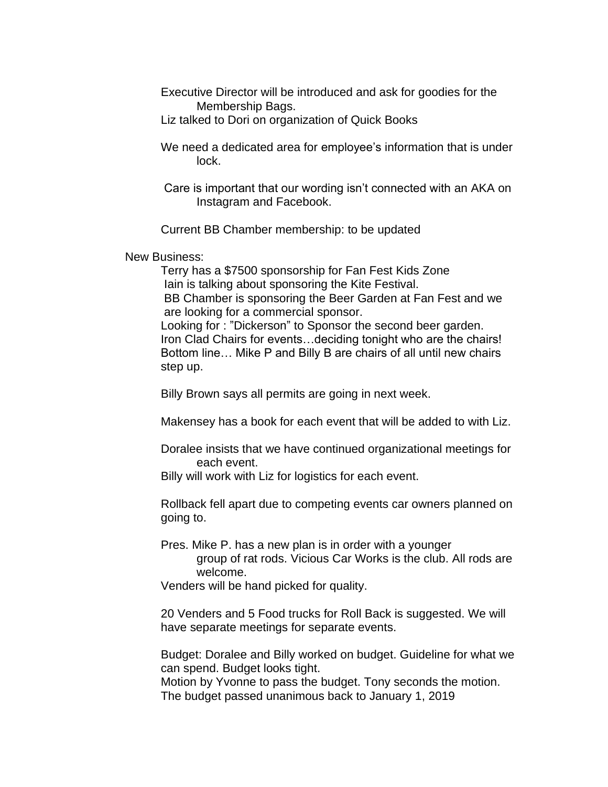- Executive Director will be introduced and ask for goodies for the Membership Bags.
- Liz talked to Dori on organization of Quick Books
- We need a dedicated area for employee's information that is under lock.
- Care is important that our wording isn't connected with an AKA on Instagram and Facebook.

Current BB Chamber membership: to be updated

New Business:

Terry has a \$7500 sponsorship for Fan Fest Kids Zone Iain is talking about sponsoring the Kite Festival. BB Chamber is sponsoring the Beer Garden at Fan Fest and we are looking for a commercial sponsor.

Looking for : "Dickerson" to Sponsor the second beer garden. Iron Clad Chairs for events…deciding tonight who are the chairs! Bottom line… Mike P and Billy B are chairs of all until new chairs step up.

Billy Brown says all permits are going in next week.

Makensey has a book for each event that will be added to with Liz.

- Doralee insists that we have continued organizational meetings for each event.
- Billy will work with Liz for logistics for each event.

Rollback fell apart due to competing events car owners planned on going to.

Pres. Mike P. has a new plan is in order with a younger group of rat rods. Vicious Car Works is the club. All rods are welcome.

Venders will be hand picked for quality.

20 Venders and 5 Food trucks for Roll Back is suggested. We will have separate meetings for separate events.

Budget: Doralee and Billy worked on budget. Guideline for what we can spend. Budget looks tight.

Motion by Yvonne to pass the budget. Tony seconds the motion. The budget passed unanimous back to January 1, 2019